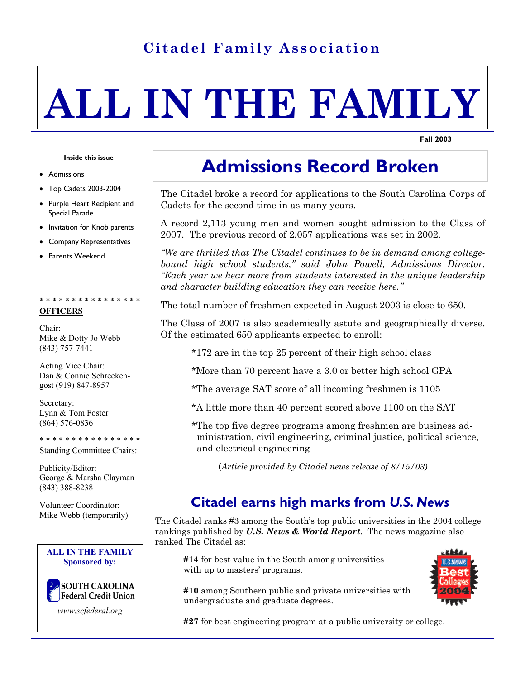# **Citadel Family Association**

# **ALL IN THE FAMILY**

**Fall 2003** 

#### **Inside this issue**

- **Admissions**
- Top Cadets 2003-2004
- Purple Heart Recipient and Special Parade
- Invitation for Knob parents
- Company Representatives
- Parents Weekend

## \* \* \* \* \* \* \*

#### **OFFICERS**

Chair: Mike & Dotty Jo Webb (843) 757-7441

Acting Vice Chair: Dan & Connie Schreckengost (919) 847-8957

Secretary: Lynn & Tom Foster (864) 576-0836

\* \* \* \* \* \* \* \* \* \* \* \* \* \* \* \*

Standing Committee Chairs:

Publicity/Editor: George & Marsha Clayman (843) 388-8238

Volunteer Coordinator: Mike Webb (temporarily)

#### **ALL IN THE FAMILY Sponsored by:**



*www.scfederal.org*

# **Admissions Record Broken**

The Citadel broke a record for applications to the South Carolina Corps of Cadets for the second time in as many years.

A record 2,113 young men and women sought admission to the Class of 2007. The previous record of 2,057 applications was set in 2002.

*"We are thrilled that The Citadel continues to be in demand among collegebound high school students," said John Powell, Admissions Director. "Each year we hear more from students interested in the unique leadership and character building education they can receive here."* 

The total number of freshmen expected in August 2003 is close to 650.

The Class of 2007 is also academically astute and geographically diverse. Of the estimated 650 applicants expected to enroll:

- \*172 are in the top 25 percent of their high school class
- \*More than 70 percent have a 3.0 or better high school GPA
- \*The average SAT score of all incoming freshmen is 1105
- \*A little more than 40 percent scored above 1100 on the SAT

 \*The top five degree programs among freshmen are business ad ministration, civil engineering, criminal justice, political science, and electrical engineering

(*Article provided by Citadel news release of 8/15/03)*

# **Citadel earns high marks from** *U.S. News*

The Citadel ranks #3 among the South's top public universities in the 2004 college rankings published by *U.S. News & World Report*. The news magazine also ranked The Citadel as:

 **#14** for best value in the South among universities with up to masters' programs.

 **#10** among Southern public and private universities with undergraduate and graduate degrees.

**#27** for best engineering program at a public university or college.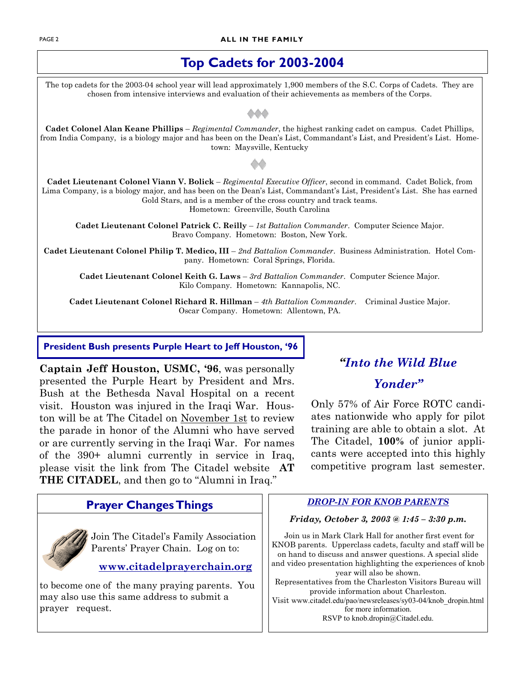#### **PAGE 2 ALL IN THE FAMILY**

# **Top Cadets for 2003-2004**

The top cadets for the 2003-04 school year will lead approximately 1,900 members of the S.C. Corps of Cadets. They are chosen from intensive interviews and evaluation of their achievements as members of the Corps.

**Cadet Colonel Alan Keane Phillips** – *Regimental Commander*, the highest ranking cadet on campus. Cadet Phillips, from India Company, is a biology major and has been on the Dean's List, Commandant's List, and President's List. Hometown: Maysville, Kentucky

**Cadet Lieutenant Colonel Viann V. Bolick** – *Regimental Executive Officer*, second in command. Cadet Bolick, from Lima Company, is a biology major, and has been on the Dean's List, Commandant's List, President's List. She has earned Gold Stars, and is a member of the cross country and track teams. Hometown: Greenville, South Carolina

**Cadet Lieutenant Colonel Patrick C. Reilly** – *1st Battalion Commander*. Computer Science Major. Bravo Company. Hometown: Boston, New York.

**Cadet Lieutenant Colonel Philip T. Medico, III** – *2nd Battalion Commander*. Business Administration. Hotel Company. Hometown: Coral Springs, Florida.

**Cadet Lieutenant Colonel Keith G. Laws** – *3rd Battalion Commander*. Computer Science Major. Kilo Company. Hometown: Kannapolis, NC.

**Cadet Lieutenant Colonel Richard R. Hillman** – *4th Battalion Commander*. Criminal Justice Major. Oscar Company. Hometown: Allentown, PA.

**President Bush presents Purple Heart to Jeff Houston, '96** 

**Captain Jeff Houston, USMC, '96**, was personally presented the Purple Heart by President and Mrs. Bush at the Bethesda Naval Hospital on a recent visit. Houston was injured in the Iraqi War. Houston will be at The Citadel on November 1st to review the parade in honor of the Alumni who have served or are currently serving in the Iraqi War. For names of the 390+ alumni currently in service in Iraq, please visit the link from The Citadel website **AT THE CITADEL**, and then go to "Alumni in Iraq."

# *"Into the Wild Blue*

## *Yonder"*

Only 57% of Air Force ROTC candiates nationwide who apply for pilot training are able to obtain a slot. At The Citadel, **100%** of junior applicants were accepted into this highly competitive program last semester.

| <b>Frayer Unanges I nings</b>                                                   |  |
|---------------------------------------------------------------------------------|--|
| Join The Citadel's Family Association<br>Parents' Prayer Chain. Log on to:<br>⑩ |  |
| www.citadelprayerchain.org                                                      |  |
| to become one of the many praying parents. You                                  |  |

may also use this same address to submit a

prayer request.

*DROP-IN FOR KNOB PARENTS* **Prayer Changes Things** 

# *Friday, October 3, 2003 @ 1:45 – 3:30 p.m.*

Join us in Mark Clark Hall for another first event for KNOB parents. Upperclass cadets, faculty and staff will be on hand to discuss and answer questions. A special slide and video presentation highlighting the experiences of knob year will also be shown. Representatives from the Charleston Visitors Bureau will provide information about Charleston. Visit www.citadel.edu/pao/newsreleases/sy03-04/knob\_dropin.html

for more information. RSVP to knob.dropin@Citadel.edu.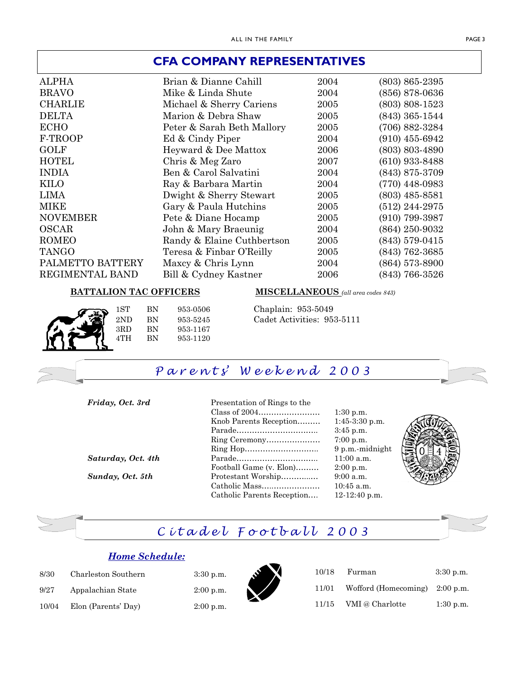#### **CFA COMPANY REPRESENTATIVES**

| <b>ALPHA</b>     | Brian & Dianne Cahill      | 2004 | $(803)$ 865-2395   |
|------------------|----------------------------|------|--------------------|
| <b>BRAVO</b>     | Mike & Linda Shute         | 2004 | $(856)$ 878-0636   |
| <b>CHARLIE</b>   | Michael & Sherry Cariens   | 2005 | $(803)$ 808-1523   |
| <b>DELTA</b>     | Marion & Debra Shaw        | 2005 | $(843)$ 365-1544   |
| <b>ECHO</b>      | Peter & Sarah Beth Mallory | 2005 | $(706) 882 - 3284$ |
| F-TROOP          | Ed & Cindy Piper           | 2004 | $(910)$ 455-6942   |
| <b>GOLF</b>      | Heyward & Dee Mattox       | 2006 | $(803)$ 803-4890   |
| <b>HOTEL</b>     | Chris & Meg Zaro           | 2007 | $(610)$ 933-8488   |
| <b>INDIA</b>     | Ben & Carol Salvatini      | 2004 | (843) 875-3709     |
| <b>KILO</b>      | Ray & Barbara Martin       | 2004 | $(770)$ 448-0983   |
| <b>LIMA</b>      | Dwight & Sherry Stewart    | 2005 | $(803)$ 485-8581   |
| <b>MIKE</b>      | Gary & Paula Hutchins      | 2005 | $(512)$ 244-2975   |
| <b>NOVEMBER</b>  | Pete & Diane Hocamp        | 2005 | $(910)$ 799-3987   |
| <b>OSCAR</b>     | John & Mary Braeunig       | 2004 | (864) 250-9032     |
| <b>ROMEO</b>     | Randy & Elaine Cuthbertson | 2005 | $(843)$ 579-0415   |
| <b>TANGO</b>     | Teresa & Finbar O'Reilly   | 2005 | $(843)$ 762-3685   |
| PALMETTO BATTERY | Maxcy & Chris Lynn         | 2004 | $(864)$ 573-8900   |
| REGIMENTAL BAND  | Bill & Cydney Kastner      | 2006 | $(843)$ 766-3526   |

#### **BATTALION TAC OFFICERS MISCELLANEOUS** *(all area codes 843)*

1ST BN 953-0506 Chaplain: 953-5049 3RD BN 953-1167 4TH BN 953-1120

2ND BN 953-5245 Cadet Activities: 953-5111



3:30 p.m.  $2:00$  p.m. 2:00 p.m.

 Ring Ceremony………………… 7:00 p.m. Ring Hop……………………….. 9 p.m.-midnight *Saturday, Oct. 4th* Parade………………………….. 11:00 a.m. Football Game (v. Elon)……… 2:00 p.m. *Sunday, Oct. 5th* Protestant Worship………...… 9:00 a.m. Catholic Mass…..……………… 10:45 a.m. Catholic Parents Reception…. 12-12:40 p.m.



# *C i t a d e l F o o t b a l l 2 0 0 3*

#### *Home Schedule:*

| 8/30  | Charleston Southern |
|-------|---------------------|
| 9/27  | Appalachian State   |
| 10/04 | Elon (Parents' Day) |



| 10/18 | Furman                                   | $3:30$ p.m. |
|-------|------------------------------------------|-------------|
| 11/01 | Wofford (Homecoming) $2:00 \text{ p.m.}$ |             |
| 11/15 | VMI @ Charlotte                          | $1:30$ p.m. |